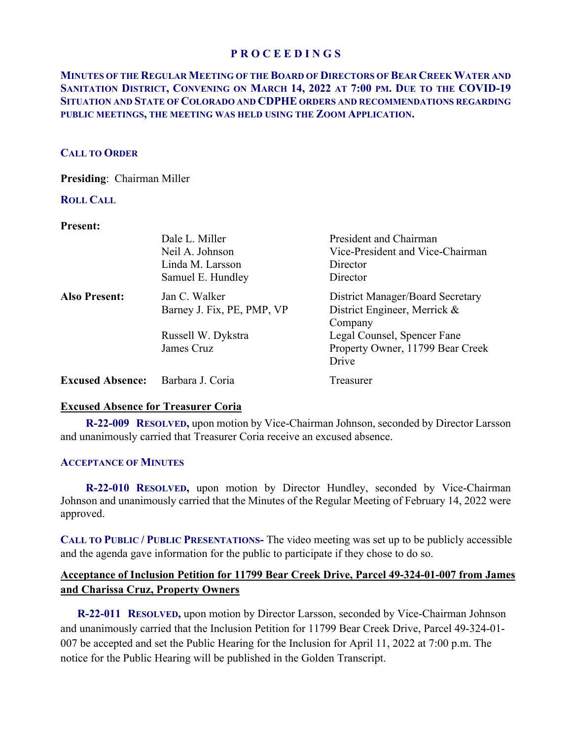# **MINUTES OF THE REGULAR MEETING OF THE BOARD OF DIRECTORS OF BEAR CREEK WATER AND SANITATION DISTRICT, CONVENING ON MARCH 14, 2022 AT 7:00 PM. DUE TO THE COVID-19 SITUATION AND STATE OF COLORADO AND CDPHE ORDERS AND RECOMMENDATIONS REGARDING PUBLIC MEETINGS, THE MEETING WAS HELD USING THE ZOOM APPLICATION.**

## **CALL TO ORDER**

**Presiding**: Chairman Miller

# **ROLL CALL**

## **Present:**

|                         | Dale L. Miller             | President and Chairman                  |
|-------------------------|----------------------------|-----------------------------------------|
|                         | Neil A. Johnson            | Vice-President and Vice-Chairman        |
|                         | Linda M. Larsson           | Director                                |
|                         | Samuel E. Hundley          | Director                                |
| <b>Also Present:</b>    | Jan C. Walker              | <b>District Manager/Board Secretary</b> |
|                         | Barney J. Fix, PE, PMP, VP | District Engineer, Merrick &            |
|                         |                            | Company                                 |
|                         | Russell W. Dykstra         | Legal Counsel, Spencer Fane             |
|                         | James Cruz                 | Property Owner, 11799 Bear Creek        |
|                         |                            | Drive                                   |
| <b>Excused Absence:</b> | Barbara J. Coria           | Treasurer                               |

# **Excused Absence for Treasurer Coria**

 **R-22-009 RESOLVED,** upon motion by Vice-Chairman Johnson, seconded by Director Larsson and unanimously carried that Treasurer Coria receive an excused absence.

## **ACCEPTANCE OF MINUTES**

 **R-22-010 RESOLVED,** upon motion by Director Hundley, seconded by Vice-Chairman Johnson and unanimously carried that the Minutes of the Regular Meeting of February 14, 2022 were approved.

**CALL TO PUBLIC / PUBLIC PRESENTATIONS-** The video meeting was set up to be publicly accessible and the agenda gave information for the public to participate if they chose to do so.

# **Acceptance of Inclusion Petition for 11799 Bear Creek Drive, Parcel 49-324-01-007 from James and Charissa Cruz, Property Owners**

 **R-22-011 RESOLVED,** upon motion by Director Larsson, seconded by Vice-Chairman Johnson and unanimously carried that the Inclusion Petition for 11799 Bear Creek Drive, Parcel 49-324-01- 007 be accepted and set the Public Hearing for the Inclusion for April 11, 2022 at 7:00 p.m. The notice for the Public Hearing will be published in the Golden Transcript.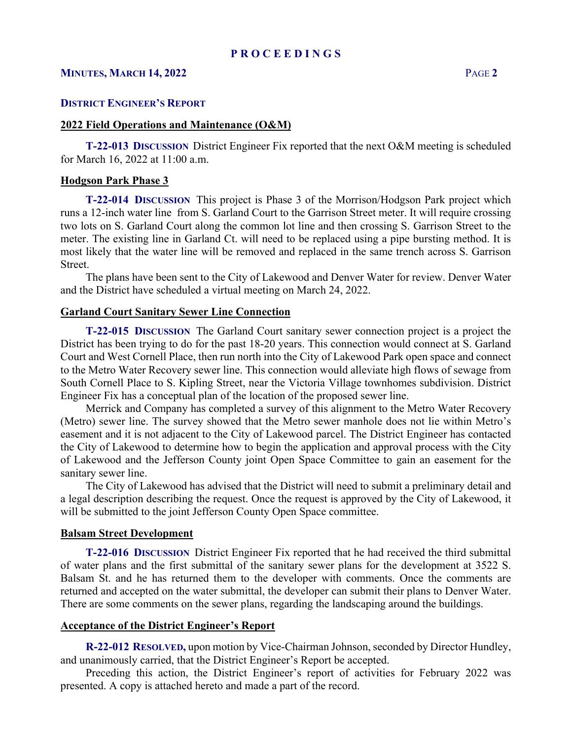## **MINUTES, MARCH 14, 2022** PAGE **2**

## **DISTRICT ENGINEER'S REPORT**

### **2022 Field Operations and Maintenance (O&M)**

 **T-22-013 DISCUSSION** District Engineer Fix reported that the next O&M meeting is scheduled for March 16, 2022 at 11:00 a.m.

### **Hodgson Park Phase 3**

 **T-22-014 DISCUSSION** This project is Phase 3 of the Morrison/Hodgson Park project which runs a 12-inch water line from S. Garland Court to the Garrison Street meter. It will require crossing two lots on S. Garland Court along the common lot line and then crossing S. Garrison Street to the meter. The existing line in Garland Ct. will need to be replaced using a pipe bursting method. It is most likely that the water line will be removed and replaced in the same trench across S. Garrison Street.

 The plans have been sent to the City of Lakewood and Denver Water for review. Denver Water and the District have scheduled a virtual meeting on March 24, 2022.

## **Garland Court Sanitary Sewer Line Connection**

 **T-22-015 DISCUSSION** The Garland Court sanitary sewer connection project is a project the District has been trying to do for the past 18-20 years. This connection would connect at S. Garland Court and West Cornell Place, then run north into the City of Lakewood Park open space and connect to the Metro Water Recovery sewer line. This connection would alleviate high flows of sewage from South Cornell Place to S. Kipling Street, near the Victoria Village townhomes subdivision. District Engineer Fix has a conceptual plan of the location of the proposed sewer line.

 Merrick and Company has completed a survey of this alignment to the Metro Water Recovery (Metro) sewer line. The survey showed that the Metro sewer manhole does not lie within Metro's easement and it is not adjacent to the City of Lakewood parcel. The District Engineer has contacted the City of Lakewood to determine how to begin the application and approval process with the City of Lakewood and the Jefferson County joint Open Space Committee to gain an easement for the sanitary sewer line.

 The City of Lakewood has advised that the District will need to submit a preliminary detail and a legal description describing the request. Once the request is approved by the City of Lakewood, it will be submitted to the joint Jefferson County Open Space committee.

#### **Balsam Street Development**

 **T-22-016 DISCUSSION** District Engineer Fix reported that he had received the third submittal of water plans and the first submittal of the sanitary sewer plans for the development at 3522 S. Balsam St. and he has returned them to the developer with comments. Once the comments are returned and accepted on the water submittal, the developer can submit their plans to Denver Water. There are some comments on the sewer plans, regarding the landscaping around the buildings.

#### **Acceptance of the District Engineer's Report**

**R-22-012 RESOLVED,** upon motion by Vice-Chairman Johnson, seconded by Director Hundley, and unanimously carried, that the District Engineer's Report be accepted.

 Preceding this action, the District Engineer's report of activities for February 2022 was presented. A copy is attached hereto and made a part of the record.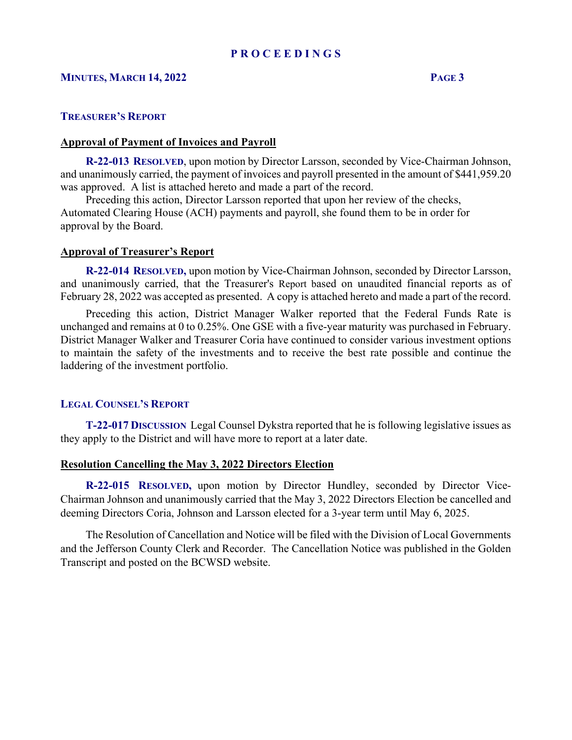# **MINUTES, MARCH 14, 2022 PAGE 3**

### **TREASURER'S REPORT**

#### **Approval of Payment of Invoices and Payroll**

 **R-22-013 RESOLVED**, upon motion by Director Larsson, seconded by Vice-Chairman Johnson, and unanimously carried, the payment of invoices and payroll presented in the amount of \$441,959.20 was approved. A list is attached hereto and made a part of the record.

 Preceding this action, Director Larsson reported that upon her review of the checks, Automated Clearing House (ACH) payments and payroll, she found them to be in order for approval by the Board.

## **Approval of Treasurer's Report**

 **R-22-014 RESOLVED,** upon motion by Vice-Chairman Johnson, seconded by Director Larsson, and unanimously carried, that the Treasurer's Report based on unaudited financial reports as of February 28, 2022 was accepted as presented. A copy is attached hereto and made a part of the record.

 Preceding this action, District Manager Walker reported that the Federal Funds Rate is unchanged and remains at 0 to 0.25%. One GSE with a five-year maturity was purchased in February. District Manager Walker and Treasurer Coria have continued to consider various investment options to maintain the safety of the investments and to receive the best rate possible and continue the laddering of the investment portfolio.

#### **LEGAL COUNSEL'S REPORT**

 **T-22-017 DISCUSSION** Legal Counsel Dykstra reported that he is following legislative issues as they apply to the District and will have more to report at a later date.

## **Resolution Cancelling the May 3, 2022 Directors Election**

 **R-22-015 RESOLVED,** upon motion by Director Hundley, seconded by Director Vice-Chairman Johnson and unanimously carried that the May 3, 2022 Directors Election be cancelled and deeming Directors Coria, Johnson and Larsson elected for a 3-year term until May 6, 2025.

 The Resolution of Cancellation and Notice will be filed with the Division of Local Governments and the Jefferson County Clerk and Recorder. The Cancellation Notice was published in the Golden Transcript and posted on the BCWSD website.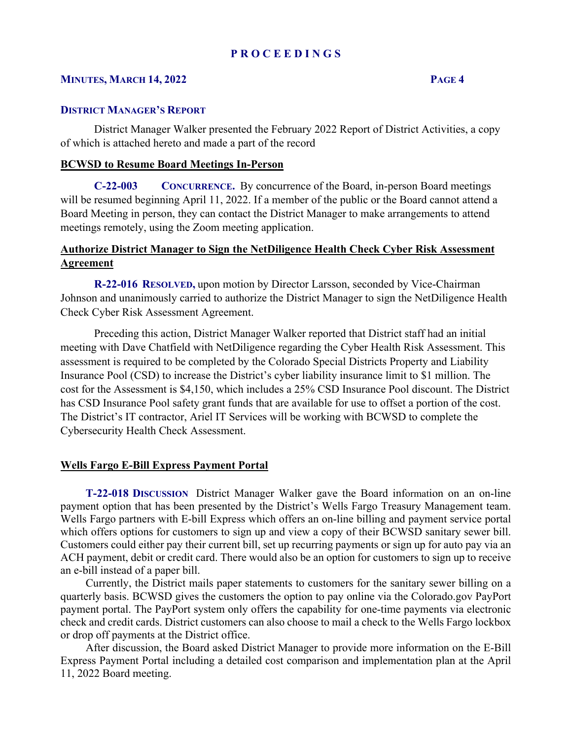## **MINUTES, MARCH 14, 2022 PAGE 4**

## **DISTRICT MANAGER'S REPORT**

District Manager Walker presented the February 2022 Report of District Activities, a copy of which is attached hereto and made a part of the record

# **BCWSD to Resume Board Meetings In-Person**

 **C-22-003 CONCURRENCE.** By concurrence of the Board, in-person Board meetings will be resumed beginning April 11, 2022. If a member of the public or the Board cannot attend a Board Meeting in person, they can contact the District Manager to make arrangements to attend meetings remotely, using the Zoom meeting application.

# **Authorize District Manager to Sign the NetDiligence Health Check Cyber Risk Assessment Agreement**

 **R-22-016 RESOLVED,** upon motion by Director Larsson, seconded by Vice-Chairman Johnson and unanimously carried to authorize the District Manager to sign the NetDiligence Health Check Cyber Risk Assessment Agreement.

Preceding this action, District Manager Walker reported that District staff had an initial meeting with Dave Chatfield with NetDiligence regarding the Cyber Health Risk Assessment. This assessment is required to be completed by the Colorado Special Districts Property and Liability Insurance Pool (CSD) to increase the District's cyber liability insurance limit to \$1 million. The cost for the Assessment is \$4,150, which includes a 25% CSD Insurance Pool discount. The District has CSD Insurance Pool safety grant funds that are available for use to offset a portion of the cost. The District's IT contractor, Ariel IT Services will be working with BCWSD to complete the Cybersecurity Health Check Assessment.

## **Wells Fargo E-Bill Express Payment Portal**

 **T-22-018 DISCUSSION** District Manager Walker gave the Board information on an on-line payment option that has been presented by the District's Wells Fargo Treasury Management team. Wells Fargo partners with E-bill Express which offers an on-line billing and payment service portal which offers options for customers to sign up and view a copy of their BCWSD sanitary sewer bill. Customers could either pay their current bill, set up recurring payments or sign up for auto pay via an ACH payment, debit or credit card. There would also be an option for customers to sign up to receive an e-bill instead of a paper bill.

 Currently, the District mails paper statements to customers for the sanitary sewer billing on a quarterly basis. BCWSD gives the customers the option to pay online via the Colorado.gov PayPort payment portal. The PayPort system only offers the capability for one-time payments via electronic check and credit cards. District customers can also choose to mail a check to the Wells Fargo lockbox or drop off payments at the District office.

 After discussion, the Board asked District Manager to provide more information on the E-Bill Express Payment Portal including a detailed cost comparison and implementation plan at the April 11, 2022 Board meeting.